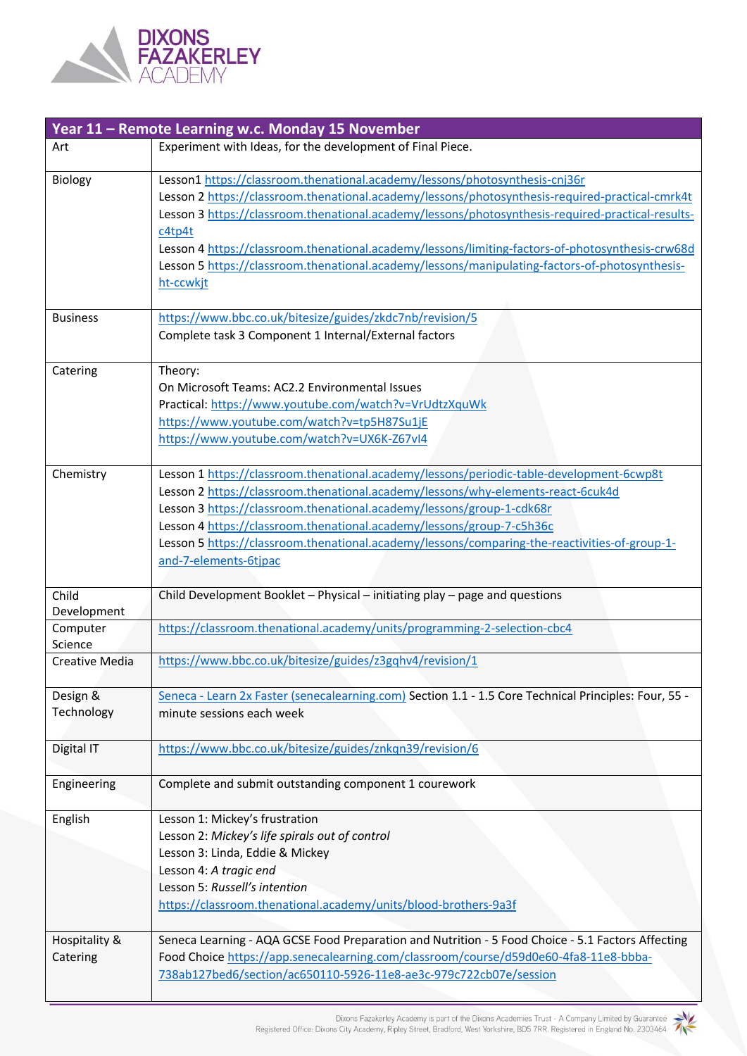

| Year 11 - Remote Learning w.c. Monday 15 November |                                                                                                                                                                                                                                                                                                                                                                                                                                                                                                                  |  |
|---------------------------------------------------|------------------------------------------------------------------------------------------------------------------------------------------------------------------------------------------------------------------------------------------------------------------------------------------------------------------------------------------------------------------------------------------------------------------------------------------------------------------------------------------------------------------|--|
| Art                                               | Experiment with Ideas, for the development of Final Piece.                                                                                                                                                                                                                                                                                                                                                                                                                                                       |  |
| Biology                                           | Lesson1 https://classroom.thenational.academy/lessons/photosynthesis-cnj36r<br>Lesson 2 https://classroom.thenational.academy/lessons/photosynthesis-required-practical-cmrk4t<br>Lesson 3 https://classroom.thenational.academy/lessons/photosynthesis-required-practical-results-<br>c4tp4t<br>Lesson 4 https://classroom.thenational.academy/lessons/limiting-factors-of-photosynthesis-crw68d<br>Lesson 5 https://classroom.thenational.academy/lessons/manipulating-factors-of-photosynthesis-<br>ht-ccwkjt |  |
| <b>Business</b>                                   | https://www.bbc.co.uk/bitesize/guides/zkdc7nb/revision/5<br>Complete task 3 Component 1 Internal/External factors                                                                                                                                                                                                                                                                                                                                                                                                |  |
| Catering                                          | Theory:<br>On Microsoft Teams: AC2.2 Environmental Issues<br>Practical: https://www.youtube.com/watch?v=VrUdtzXquWk<br>https://www.youtube.com/watch?v=tp5H87Su1jE<br>https://www.youtube.com/watch?v=UX6K-Z67vI4                                                                                                                                                                                                                                                                                                |  |
| Chemistry                                         | Lesson 1 https://classroom.thenational.academy/lessons/periodic-table-development-6cwp8t<br>Lesson 2 https://classroom.thenational.academy/lessons/why-elements-react-6cuk4d<br>Lesson 3 https://classroom.thenational.academy/lessons/group-1-cdk68r<br>Lesson 4 https://classroom.thenational.academy/lessons/group-7-c5h36c<br>Lesson 5 https://classroom.thenational.academy/lessons/comparing-the-reactivities-of-group-1-<br>and-7-elements-6tjpac                                                         |  |
| Child<br>Development                              | Child Development Booklet - Physical - initiating play - page and questions                                                                                                                                                                                                                                                                                                                                                                                                                                      |  |
| Computer<br>Science                               | https://classroom.thenational.academy/units/programming-2-selection-cbc4                                                                                                                                                                                                                                                                                                                                                                                                                                         |  |
| Creative Media                                    | https://www.bbc.co.uk/bitesize/guides/z3gqhv4/revision/1                                                                                                                                                                                                                                                                                                                                                                                                                                                         |  |
| Design &<br>Technology                            | Seneca - Learn 2x Faster (senecalearning.com) Section 1.1 - 1.5 Core Technical Principles: Four, 55 -<br>minute sessions each week                                                                                                                                                                                                                                                                                                                                                                               |  |
| Digital IT                                        | https://www.bbc.co.uk/bitesize/guides/znkqn39/revision/6                                                                                                                                                                                                                                                                                                                                                                                                                                                         |  |
| Engineering                                       | Complete and submit outstanding component 1 courework                                                                                                                                                                                                                                                                                                                                                                                                                                                            |  |
| English                                           | Lesson 1: Mickey's frustration<br>Lesson 2: Mickey's life spirals out of control<br>Lesson 3: Linda, Eddie & Mickey<br>Lesson 4: A tragic end<br>Lesson 5: Russell's intention<br>https://classroom.thenational.academy/units/blood-brothers-9a3f                                                                                                                                                                                                                                                                |  |
| Hospitality &<br>Catering                         | Seneca Learning - AQA GCSE Food Preparation and Nutrition - 5 Food Choice - 5.1 Factors Affecting<br>Food Choice https://app.senecalearning.com/classroom/course/d59d0e60-4fa8-11e8-bbba-<br>738ab127bed6/section/ac650110-5926-11e8-ae3c-979c722cb07e/session                                                                                                                                                                                                                                                   |  |

Dixons Fazakerley Academy is part of the Dixons Academies Trust - A Company Limited by Guarantee<br>Registered Office: Dixons City Academy, Ripley Street, Bradford, West Yorkshire, BD5 7RR. Registered in England No. 2303464